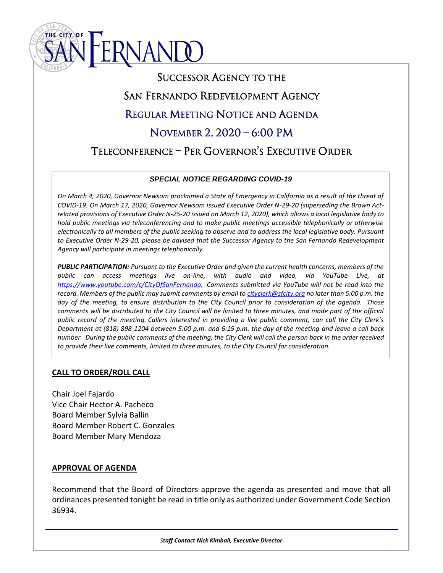

# SUCCESSOR AGENCY TO THE SAN FERNANDO REDEVELOPMENT AGENCY REGULAR MEETING NOTICE AND AGENDA NOVEMBER 2, 2020 – 6:00 PM TELECONFERENCE – PER GOVERNOR'S EXECUTIVE ORDER

# l *SPECIAL NOTICE REGARDING COVID-19*

 *On March 4, 2020, Governor Newsom proclaimed a State of Emergency in California as a result of the threat of COVID-19. On March 17, 2020, Governor Newsom issued Executive Order N-29-20 (superseding the Brown Act- related provisions of Executive Order N-25-20 issued on March 12, 2020), which allows a local legislative body to hold public meetings via teleconferencing and to make public meetings accessible telephonically or otherwise electronically to all members of the public seeking to observe and to address the local legislative body. Pursuant to Executive Order N-29-20, please be advised that the Successor Agency to the San Fernando Redevelopment Agency will participate in meetings telephonically.*

 *PUBLIC PARTICIPATION: Pursuant to the Executive Order and given the current health concerns, members of the public can access meetings live on-line, with audio and video, via YouTube Live, at [https://www.youtube.com/c/CityOfSanFernando.](https://www.youtube.com/channel/UC2OGT0-5m7SPbA-YmtPyDaA/) Comments submitted via YouTube will not be read into the record. Members of the public may submit comments by email to [cityclerk@sfcity.org](mailto:cityclerk@sfcity.org) no later than 5:00 p.m. the day of the meeting, to ensure distribution to the City Council prior to consideration of the agenda. Those*  comments will be distributed to the City Council will be limited to three minutes, and made part of the official *public record of the meeting. Callers interested in providing a live public comment, can call the City Clerk's Department at (818) 898-1204 between 5:00 p.m. and 6:15 p.m. the day of the meeting and leave a call back number. During the public comments of the meeting, the City Clerk will call the person back in the order received to provide their live comments, limited to three minutes, to the City Council for consideration.*

# **CALL TO ORDER/ROLL CALL**

Chair Joel Fajardo Vice Chair Hector A. Pacheco Board Member Sylvia Ballin Board Member Robert C. Gonzales Board Member Mary Mendoza

# **APPROVAL OF AGENDA**

Recommend that the Board of Directors approve the agenda as presented and move that all ordinances presented tonight be read in title only as authorized under Government Code Section 36934.